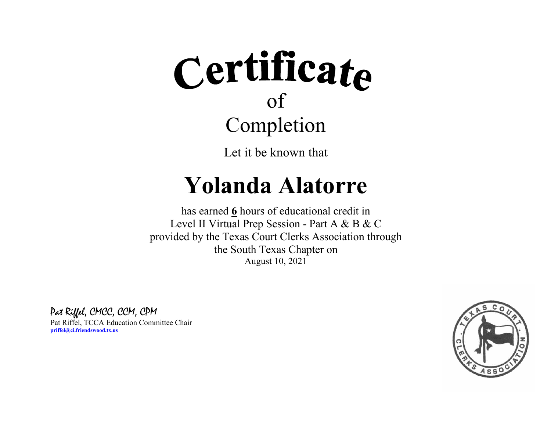Let it be known that

### **Yolanda Alatorre**

 $\_$  , and the state of the state of the state of the state of the state of the state of the state of the state of the state of the state of the state of the state of the state of the state of the state of the state of the

has earned **6** hours of educational credit in Level II Virtual Prep Session - Part A & B & C provided by the Texas Court Clerks Association through the South Texas Chapter on August 10, 2021

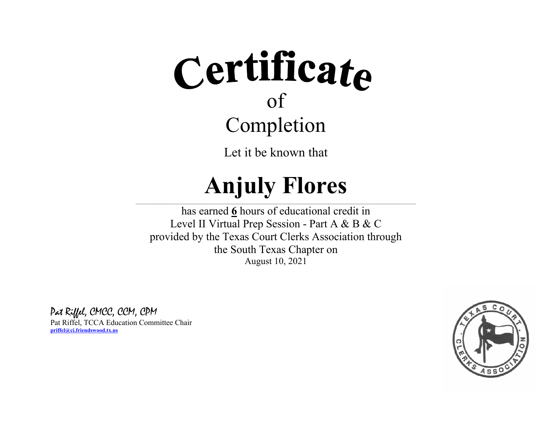Let it be known that

#### **Anjuly Flores**  $\_$  , and the state of the state of the state of the state of the state of the state of the state of the state of the state of the state of the state of the state of the state of the state of the state of the state of the

has earned **6** hours of educational credit in Level II Virtual Prep Session - Part A & B & C provided by the Texas Court Clerks Association through the South Texas Chapter on August 10, 2021

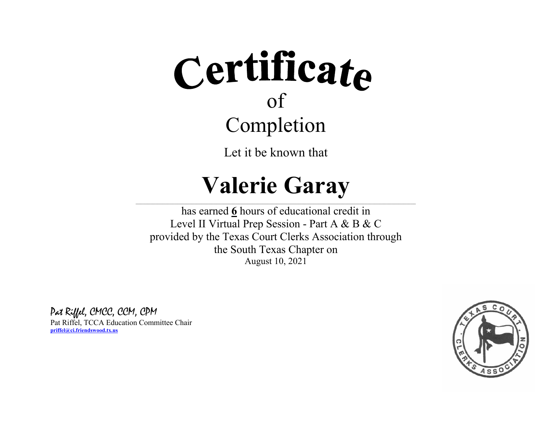Let it be known that

### **Valerie Garay**

 $\_$  , and the state of the state of the state of the state of the state of the state of the state of the state of the state of the state of the state of the state of the state of the state of the state of the state of the

has earned **6** hours of educational credit in Level II Virtual Prep Session - Part A & B & C provided by the Texas Court Clerks Association through the South Texas Chapter on August 10, 2021

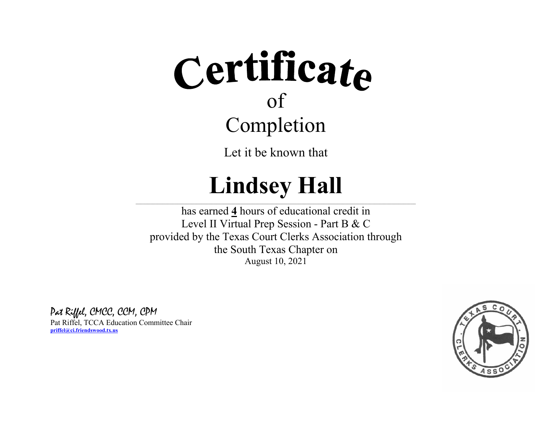Let it be known that

#### **Lindsey Hall**  $\_$  , and the state of the state of the state of the state of the state of the state of the state of the state of the state of the state of the state of the state of the state of the state of the state of the state of the

has earned **4** hours of educational credit in Level II Virtual Prep Session - Part B & C provided by the Texas Court Clerks Association through the South Texas Chapter on August 10, 2021

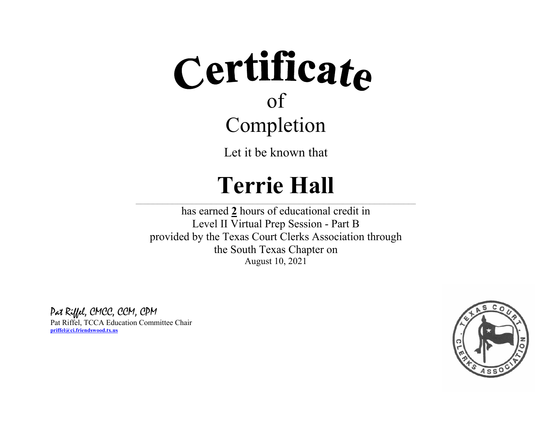Let it be known that

### **Terrie Hall**

 $\_$  , and the state of the state of the state of the state of the state of the state of the state of the state of the state of the state of the state of the state of the state of the state of the state of the state of the

has earned **2** hours of educational credit in Level II Virtual Prep Session - Part B provided by the Texas Court Clerks Association through the South Texas Chapter on August 10, 2021

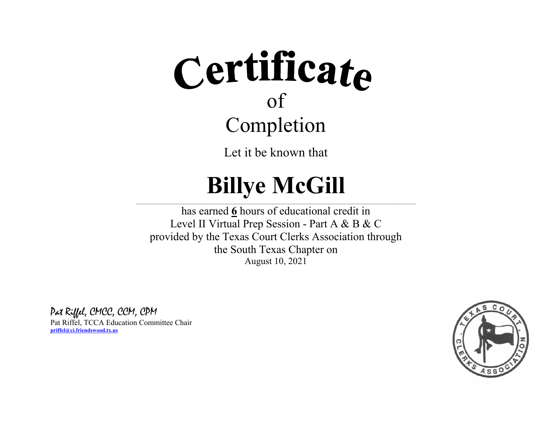Let it be known that

#### **Billye McGill**  $\_$  , and the state of the state of the state of the state of the state of the state of the state of the state of the state of the state of the state of the state of the state of the state of the state of the state of the

has earned **6** hours of educational credit in Level II Virtual Prep Session - Part A & B & C provided by the Texas Court Clerks Association through the South Texas Chapter on August 10, 2021

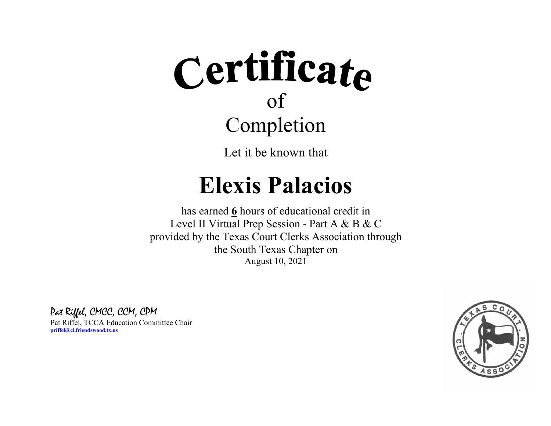Let it be known that

### **Elexis Palacios**

 $\_$  , and the state of the state of the state of the state of the state of the state of the state of the state of the state of the state of the state of the state of the state of the state of the state of the state of the

has earned **6** hours of educational credit in Level II Virtual Prep Session - Part A & B & C provided by the Texas Court Clerks Association through the South Texas Chapter on August 10, 2021

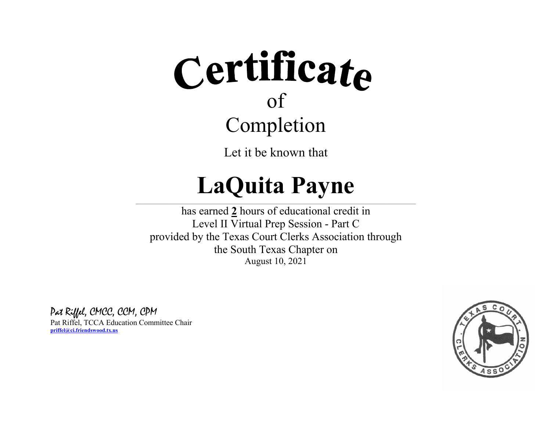Let it be known that

## **LaQuita Payne**

 $\_$  , and the state of the state of the state of the state of the state of the state of the state of the state of the state of the state of the state of the state of the state of the state of the state of the state of the

has earned **2** hours of educational credit in Level II Virtual Prep Session - Part C provided by the Texas Court Clerks Association through the South Texas Chapter on August 10, 2021

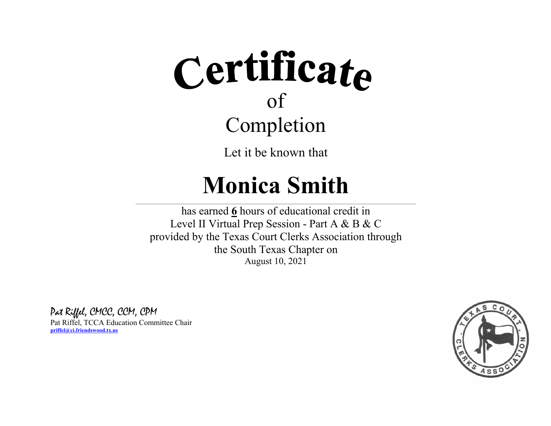Let it be known that

### **Monica Smith**

 $\_$  , and the state of the state of the state of the state of the state of the state of the state of the state of the state of the state of the state of the state of the state of the state of the state of the state of the

has earned **6** hours of educational credit in Level II Virtual Prep Session - Part A & B & C provided by the Texas Court Clerks Association through the South Texas Chapter on August 10, 2021

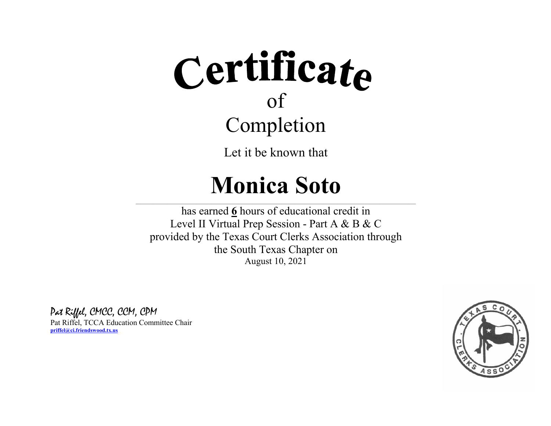Let it be known that

### **Monica Soto**

 $\_$  , and the state of the state of the state of the state of the state of the state of the state of the state of the state of the state of the state of the state of the state of the state of the state of the state of the

has earned **6** hours of educational credit in Level II Virtual Prep Session - Part A & B & C provided by the Texas Court Clerks Association through the South Texas Chapter on August 10, 2021

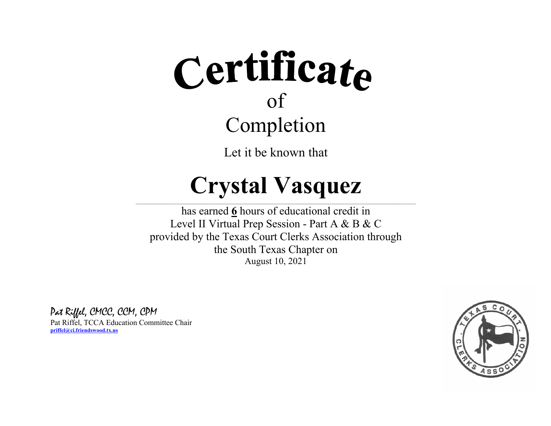Let it be known that

### **Crystal Vasquez**

 $\_$  , and the state of the state of the state of the state of the state of the state of the state of the state of the state of the state of the state of the state of the state of the state of the state of the state of the

has earned **6** hours of educational credit in Level II Virtual Prep Session - Part A & B & C provided by the Texas Court Clerks Association through the South Texas Chapter on August 10, 2021